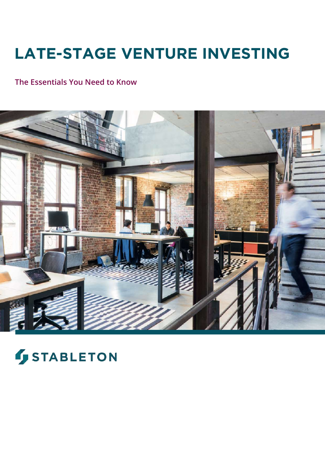# **LATE-STAGE VENTURE INVESTING**

## **The Essentials You Need to Know**



# **STABLETON**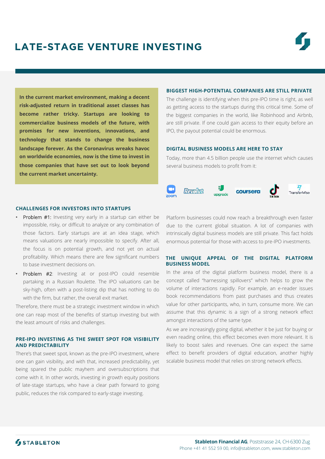# **LATE-STAGE VENTURE INVESTING**

**In the current market environment, making a decent risk-adjusted return in traditional asset classes has become rather tricky. Startups are looking to commercialize business models of the future, with promises for new inventions, innovations, and technology that stands to change the business landscape forever. As the Coronavirus wreaks havoc on worldwide economies, now is the time to invest in those companies that have set out to look beyond the current market uncertainty.**

#### **CHALLENGES FOR INVESTORS INTO STARTUPS**

- Problem #1: Investing very early in a startup can either be impossible, risky, or difficult to analyze or any combination of those factors. Early startups are at an idea stage, which means valuations are nearly impossible to specify. After all, the focus is on potential growth, and not yet on actual profitability. Which means there are few significant numbers to base investment decisions on.
- Problem #2: Investing at or post-IPO could resemble partaking in a Russian Roulette. The IPO valuations can be sky-high, often with a post-listing dip that has nothing to do with the firm, but rather, the overall exit market.

Therefore, there must be a strategic investment window in which one can reap most of the benefits of startup investing but with the least amount of risks and challenges.

#### **PRE-IPO INVESTING AS THE SWEET SPOT FOR VISIBILITY AND PREDICTABILITY**

There's that sweet spot, known as the pre-IPO investment, where one can gain visibility, and with that, increased predictability, yet being spared the public mayhem and oversubscriptions that come with it. In other words, investing in growth equity positions of late-stage startups, who have a clear path forward to going public, reduces the risk compared to early-stage investing.

#### **BIGGEST HIGH-POTENTIAL COMPANIES ARE STILL PRIVATE**

The challenge is identifying when this pre-IPO time is right, as well as getting access to the startups during this critical time. Some of the biggest companies in the world, like Robinhood and Airbnb, are still private. If one could gain access to their equity before an IPO, the payout potential could be enormous.

#### **DIGITAL BUSINESS MODELS ARE HERE TO STAY**

Today, more than 4.5 billion people use the internet which causes several business models to profit from it:



Platform businesses could now reach a breakthrough even faster due to the current global situation. A lot of companies with intrinsically digital business models are still private. This fact holds enormous potential for those with access to pre-IPO investments.

#### **THE UNIQUE APPEAL OF THE DIGITAL PLATFORM BUSINESS MODEL**

In the area of the digital platform business model, there is a concept called "harnessing spillovers" which helps to grow the volume of interactions rapidly. For example, an e-reader issues book recommendations from past purchases and thus creates value for other participants, who, in turn, consume more. We can assume that this dynamic is a sign of a strong network effect amongst interactions of the same type.

As we are increasingly going digital, whether it be just for buying or even reading online, this effect becomes even more relevant. It is likely to boost sales and revenues. One can expect the same effect to benefit providers of digital education, another highly scalable business model that relies on strong network effects.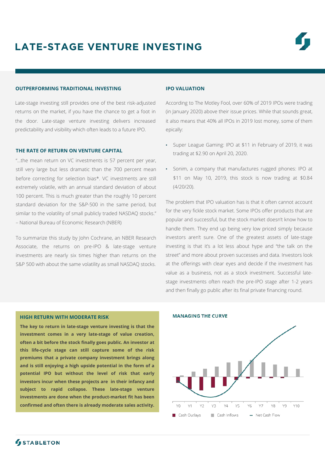#### **OUTPERFORMING TRADITIONAL INVESTING**

Late-stage investing still provides one of the best risk-adjusted returns on the market, if you have the chance to get a foot in the door. Late-stage venture investing delivers increased predictability and visibility which often leads to a future IPO.

#### **THE RATE OF RETURN ON VENTURE CAPITAL**

"…the mean return on VC investments is 57 percent per year, still very large but less dramatic than the 700 percent mean before correcting for selection bias\*. VC investments are still extremely volatile, with an annual standard deviation of about 100 percent. This is much greater than the roughly 10 percent standard deviation for the S&P-500 in the same period, but similar to the volatility of small publicly traded NASDAQ stocks." – National Bureau of Economic Research (NBER)

To summarize this study by John Cochrane, an NBER Research Associate, the returns on pre-IPO & late-stage venture investments are nearly six times higher than returns on the S&P 500 with about the same volatility as small NASDAQ stocks.

#### **IPO VALUATION**

According to The Motley Fool, over 60% of 2019 IPOs were trading (in January 2020) above their issue prices. While that sounds great, it also means that 40% all IPOs in 2019 lost money, some of them epically:

- Super League Gaming: IPO at \$11 in February of 2019, it was trading at \$2.90 on April 20, 2020.
- Sonim, a company that manufactures rugged phones: IPO at \$11 on May 10, 2019, this stock is now trading at \$0.84 (4/20/20).

The problem that IPO valuation has is that it often cannot account for the very fickle stock market. Some IPOs offer products that are popular and successful, but the stock market doesn't know how to handle them. They end up being very low priced simply because investors aren't sure. One of the greatest assets of late-stage investing is that it's a lot less about hype and "the talk on the street" and more about proven successes and data. Investors look at the offerings with clear eyes and decide if the investment has value as a business, not as a stock investment. Successful latestage investments often reach the pre-IPO stage after 1-2 years and then finally go public after its final private financing round.

#### **HIGH RETURN WITH MODERATE RISK**

**The key to return in late-stage venture investing is that the investment comes in a very late-stage of value creation, often a bit before the stock finally goes public. An investor at this life-cycle stage can still capture some of the risk premiums that a private company investment brings along and is still enjoying a high upside potential in the form of a potential IPO but without the level of risk that early investors incur when these projects are in their infancy and subject to rapid collapse. These late-stage venture investments are done when the product-market fit has been confirmed and often there is already moderate sales activity.**



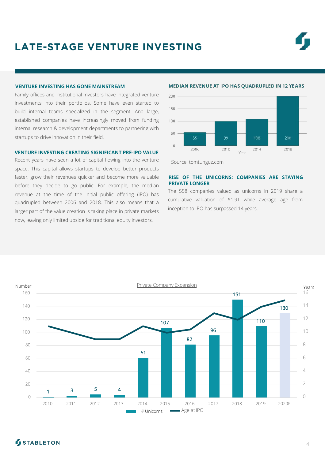# **LATE-STAGE VENTURE INVESTING**

#### **VENTURE INVESTING HAS GONE MAINSTREAM**

Family offices and institutional investors have integrated venture investments into their portfolios. Some have even started to build internal teams specialized in the segment. And large, established companies have increasingly moved from funding internal research & development departments to partnering with startups to drive innovation in their field.

#### **VENTURE INVESTING CREATING SIGNIFICANT PRE-IPO VALUE**

Recent years have seen a lot of capital flowing into the venture space. This capital allows startups to develop better products faster, grow their revenues quicker and become more valuable before they decide to go public. For example, the median revenue at the time of the initial public offering (IPO) has quadrupled between 2006 and 2018. This also means that a larger part of the value creation is taking place in private markets now, leaving only limited upside for traditional equity investors.



#### **MEDIAN REVENUE AT IPO HAS QUADRUPLED IN 12 YEARS**



#### **RISE OF THE UNICORNS: COMPANIES ARE STAYING PRIVATE LONGER**

The 558 companies valued as unicorns in 2019 share a cumulative valuation of \$1.9T while average age from inception to IPO has surpassed 14 years.



### **STABLETON**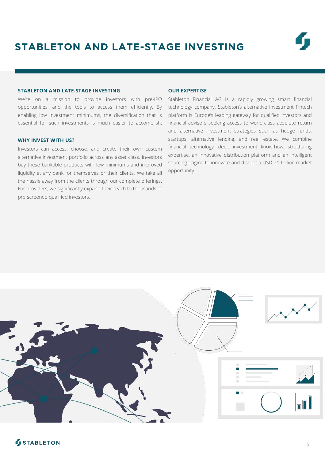#### **STABLETON AND LATE-STAGE INVESTING**

We're on a mission to provide investors with pre-IPO opportunities, and the tools to access them efficiently. By enabling low investment minimums, the diversification that is essential for such investments is much easier to accomplish.

#### **WHY INVEST WITH US?**

Investors can access, choose, and create their own custom alternative investment portfolio across any asset class. Investors buy these bankable products with low minimums and improved liquidity at any bank for themselves or their clients. We take all the hassle away from the clients through our complete offerings. For providers, we significantly expand their reach to thousands of pre-screened qualified investors.

#### **OUR EXPERTISE**

Stableton Financial AG is a rapidly growing smart financial technology company. Stableton's alternative investment Fintech platform is Europe's leading gateway for qualified investors and financial advisors seeking access to world-class absolute return and alternative investment strategies such as hedge funds, startups, alternative lending, and real estate. We combine financial technology, deep investment know-how, structuring expertise, an innovative distribution platform and an intelligent sourcing engine to innovate and disrupt a USD 21 trillion market opportunity.



## **STABLETON**